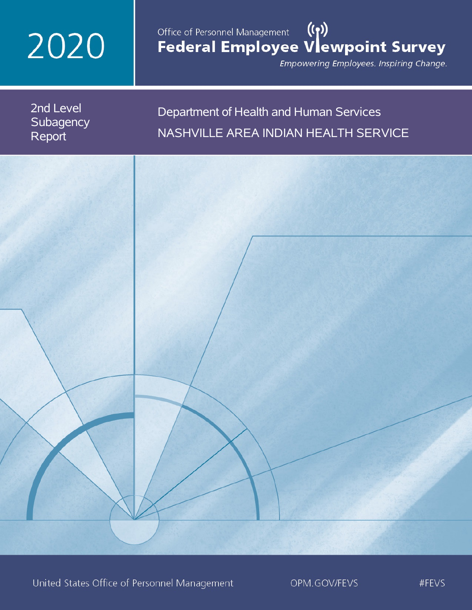# 2020

# Office of Personnel Management (())<br>Federal Employee Vlewpoint Survey

Empowering Employees. Inspiring Change.

2nd Level **Subagency** Report

# Department of Health and Human Services NASHVILLE AREA INDIAN HEALTH SERVICE

United States Office of Personnel Management

OPM.GOV/FEVS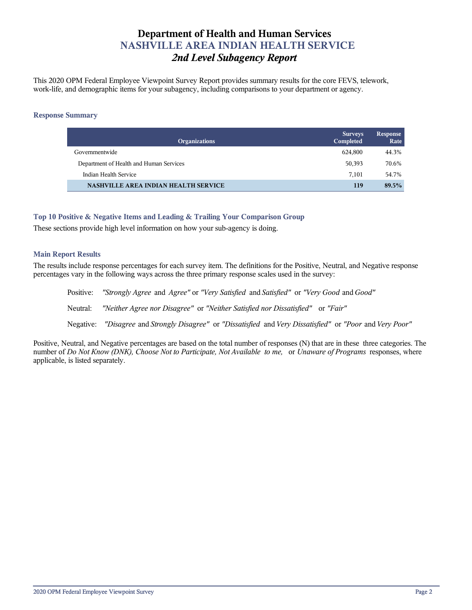# **Department of Health and Human Services NASHVILLE AREA INDIAN HEALTH SERVICE** *2nd Level Subagency Report*

This 2020 OPM Federal Employee Viewpoint Survey Report provides summary results for the core FEVS, telework, work-life, and demographic items for your subagency, including comparisons to your department or agency.

## **Response Summary**

| <b>Organizations</b>                    | <b>Surveys</b><br>Completed | <b>Response</b><br>Rate |
|-----------------------------------------|-----------------------------|-------------------------|
| Governmentwide                          | 624.800                     | 44.3%                   |
| Department of Health and Human Services | 50,393                      | 70.6%                   |
| Indian Health Service                   | 7.101                       | 54.7%                   |
| NASHVILLE AREA INDIAN HEALTH SERVICE    | 119                         | 89.5%                   |

# **Top 10 Positive & Negative Items and Leading & Trailing Your Comparison Group**

These sections provide high level information on how your sub-agency is doing.

# **Main Report Results**

The results include response percentages for each survey item. The definitions for the Positive, Neutral, and Negative response percentages vary in the following ways across the three primary response scales used in the survey:

Positive: *"Strongly Agree* and *Agree"* or *"Very Satisfied* and *Satisfied"* or *"Very Good* and *Good"* Neutral: *"Neither Agree nor Disagree"* or *"Neither Satisfied nor Dissatisfied"* or *"Fair"* Negative: *"Disagree* and *Strongly Disagree"* or *"Dissatisfied* and *Very Dissatisfied"* or *"Poor* and *Very Poor"*

Positive, Neutral, and Negative percentages are based on the total number of responses (N) that are in these three categories. The number of *Do Not Know (DNK), Choose Not to Participate, Not Available to me,* or *Unaware of Programs* responses, where applicable, is listed separately.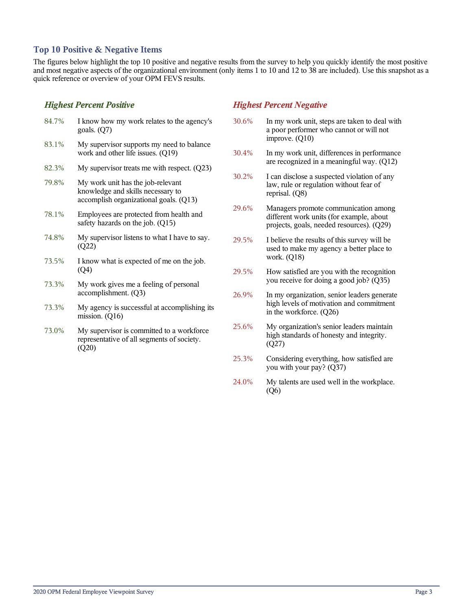# **Top 10 Positive & Negative Items**

The figures below highlight the top 10 positive and negative results from the survey to help you quickly identify the most positive and most negative aspects of the organizational environment (only items 1 to 10 and 12 to 38 are included). Use this snapshot as a quick reference or overview of your OPM FEVS results.

# *Highest Percent Positive*

(Q20)

| 84.7% | I know how my work relates to the agency's<br>goals. $(Q7)$                                                      |
|-------|------------------------------------------------------------------------------------------------------------------|
| 83.1% | My supervisor supports my need to balance<br>work and other life issues. (Q19)                                   |
| 82.3% | My supervisor treats me with respect. $(Q23)$                                                                    |
| 79.8% | My work unit has the job-relevant<br>knowledge and skills necessary to<br>accomplish organizational goals. (Q13) |
| 78.1% | Employees are protected from health and<br>safety hazards on the job. (Q15)                                      |
| 74.8% | My supervisor listens to what I have to say.<br>(Q22)                                                            |
| 73.5% | I know what is expected of me on the job.<br>(Q4)                                                                |
| 73.3% | My work gives me a feeling of personal<br>accomplishment. (Q3)                                                   |
| 73.3% | My agency is successful at accomplishing its<br>mission. $(Q16)$                                                 |
| 73.0% | My supervisor is committed to a workforce<br>representative of all segments of society.                          |

# *Highest Percent Negative*

- 30.6% In my work unit, steps are taken to deal with a poor performer who cannot or will not improve. (Q10)
- 30.4% In my work unit, differences in performance are recognized in a meaningful way. (Q12)
- 30.2% I can disclose a suspected violation of any law, rule or regulation without fear of reprisal. (Q8)
- 29.6% Managers promote communication among different work units (for example, about projects, goals, needed resources). (Q29)
- 29.5% I believe the results of this survey will be used to make my agency a better place to work. (Q18)
- 29.5% How satisfied are you with the recognition you receive for doing a good job? (Q35)
- 26.9% In my organization, senior leaders generate high levels of motivation and commitment in the workforce. (Q26)
- 25.6% My organization's senior leaders maintain high standards of honesty and integrity. (Q27)
- 25.3% Considering everything, how satisfied are you with your pay? (Q37)
- 24.0% My talents are used well in the workplace. (Q6)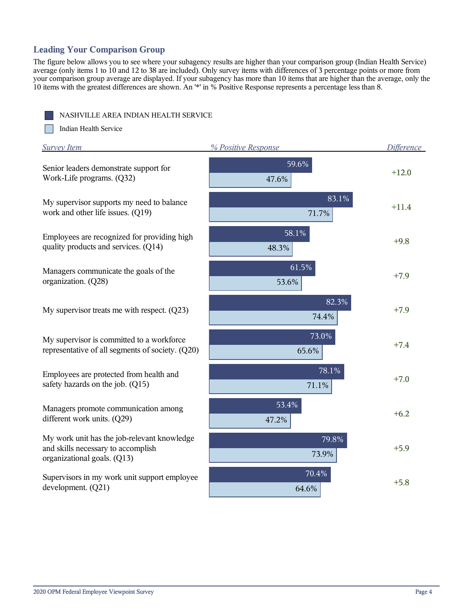# **Leading Your Comparison Group**

The figure below allows you to see where your subagency results are higher than your comparison group (Indian Health Service) average (only items 1 to 10 and 12 to 38 are included). Only survey items with differences of 3 percentage points or more from your comparison group average are displayed. If your subagency has more than 10 items that are higher than the average, only the 10 items with the greatest differences are shown. An '\*' in % Positive Response represents a percentage less than 8.

NASHVILLE AREA INDIAN HEALTH SERVICE

m Indian Health Service

| <b>Survey Item</b>                                                                                               | % Positive Response | <b>Difference</b> |
|------------------------------------------------------------------------------------------------------------------|---------------------|-------------------|
| Senior leaders demonstrate support for<br>Work-Life programs. (Q32)                                              | 59.6%<br>47.6%      | $+12.0$           |
| My supervisor supports my need to balance<br>work and other life issues. (Q19)                                   | $83.1\%$<br>71.7%   | $+11.4$           |
| Employees are recognized for providing high<br>quality products and services. (Q14)                              | 58.1%<br>48.3%      | $+9.8$            |
| Managers communicate the goals of the<br>organization. (Q28)                                                     | 61.5%<br>53.6%      | $+7.9$            |
| My supervisor treats me with respect. $(Q23)$                                                                    | 82.3%<br>74.4%      | $+7.9$            |
| My supervisor is committed to a workforce<br>representative of all segments of society. (Q20)                    | 73.0%<br>65.6%      | $+7.4$            |
| Employees are protected from health and<br>safety hazards on the job. (Q15)                                      | 78.1%<br>71.1%      | $+7.0$            |
| Managers promote communication among<br>different work units. (Q29)                                              | 53.4%<br>47.2%      | $+6.2$            |
| My work unit has the job-relevant knowledge<br>and skills necessary to accomplish<br>organizational goals. (Q13) | 79.8%<br>73.9%      | $+5.9$            |
| Supervisors in my work unit support employee<br>development. (Q21)                                               | 70.4%<br>64.6%      | $+5.8$            |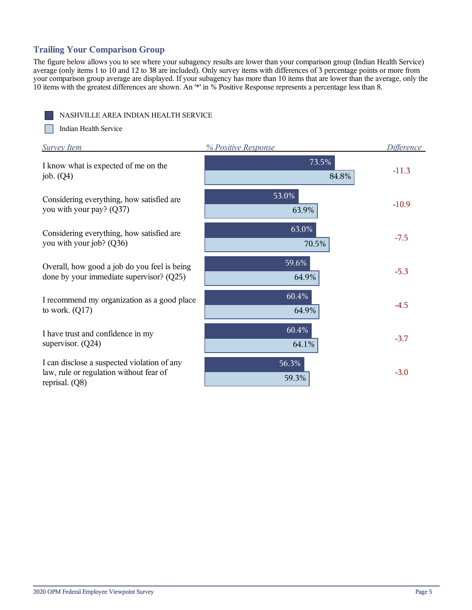# **Trailing Your Comparison Group**

The figure below allows you to see where your subagency results are lower than your comparison group (Indian Health Service) average (only items 1 to 10 and 12 to 38 are included). Only survey items with differences of 3 percentage points or more from your comparison group average are displayed. If your subagency has more than 10 items that are lower than the average, only the 10 items with the greatest differences are shown. An '\*' in % Positive Response represents a percentage less than 8.

|--|

m Indian Health Service

| <b>Survey Item</b>                                                                                         | % Positive Response | <b>Difference</b> |
|------------------------------------------------------------------------------------------------------------|---------------------|-------------------|
| I know what is expected of me on the<br>job. $(Q4)$                                                        | 73.5%<br>84.8%      | $-11.3$           |
| Considering everything, how satisfied are<br>you with your pay? (Q37)                                      | 53.0%<br>63.9%      | $-10.9$           |
| Considering everything, how satisfied are<br>you with your job? (Q36)                                      | $63.0\%$<br>70.5%   | $-7.5$            |
| Overall, how good a job do you feel is being<br>done by your immediate supervisor? $(Q25)$                 | 59.6%<br>64.9%      | $-5.3$            |
| I recommend my organization as a good place<br>to work. $(Q17)$                                            | 60.4%<br>64.9%      | $-4.5$            |
| I have trust and confidence in my<br>supervisor. $(Q24)$                                                   | 60.4%<br>64.1%      | $-3.7$            |
| I can disclose a suspected violation of any<br>law, rule or regulation without fear of<br>reprisal. $(Q8)$ | 56.3%<br>59.3%      | $-3.0$            |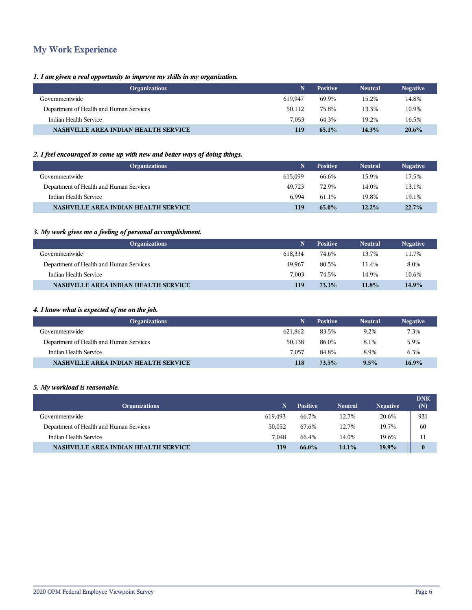# **My Work Experience**

# *1. I am given a real opportunity to improve my skills in my organization.*

| <b>Organizations</b>                        |         | <b>Positive</b> | <b>Neutral</b> | <b>Negative</b> |
|---------------------------------------------|---------|-----------------|----------------|-----------------|
| Governmentwide                              | 619.947 | 69.9%           | 15.2%          | 14.8%           |
| Department of Health and Human Services     | 50.112  | 75.8%           | 13.3%          | 10.9%           |
| Indian Health Service                       | 7.053   | 64.3%           | 19.2%          | 16.5%           |
| <b>NASHVILLE AREA INDIAN HEALTH SERVICE</b> | 119     | $65.1\%$        | 14.3%          | $20.6\%$        |

# *2. I feel encouraged to come up with new and better ways of doing things.*

| <b>Organizations</b>                        | N       | <b>Positive</b> | <b>Neutral</b> | <b>Negative</b> |
|---------------------------------------------|---------|-----------------|----------------|-----------------|
| Governmentwide                              | 615.099 | 66.6%           | 15.9%          | 17.5%           |
| Department of Health and Human Services     | 49.723  | 72.9%           | 14.0%          | 13.1%           |
| Indian Health Service                       | 6.994   | 61.1%           | 19.8%          | 19.1%           |
| <b>NASHVILLE AREA INDIAN HEALTH SERVICE</b> | 119     | 65.0%           | 12.2%          | $22.7\%$        |

# *3. My work gives me a feeling of personal accomplishment.*

| <b>Organizations</b>                        | N       | <b>Positive</b> | <b>Neutral</b> | <b>Negative</b> |
|---------------------------------------------|---------|-----------------|----------------|-----------------|
| Governmentwide                              | 618.334 | 74.6%           | 13.7%          | 11.7%           |
| Department of Health and Human Services     | 49.967  | 80.5%           | 11.4%          | 8.0%            |
| Indian Health Service                       | 7.003   | 74.5%           | 14.9%          | 10.6%           |
| <b>NASHVILLE AREA INDIAN HEALTH SERVICE</b> | 119     | 73.3%           | 11.8%          | 14.9%           |

# *4. I know what is expected of me on the job.*

| <b>Organizations</b>                        | N       | <b>Positive</b> | <b>Neutral</b> | <b>Negative</b> |
|---------------------------------------------|---------|-----------------|----------------|-----------------|
| Governmentwide                              | 621.862 | 83.5%           | 9.2%           | 7.3%            |
| Department of Health and Human Services     | 50.138  | 86.0%           | 8.1%           | 5.9%            |
| Indian Health Service                       | 7.057   | 84.8%           | 8.9%           | 6.3%            |
| <b>NASHVILLE AREA INDIAN HEALTH SERVICE</b> | 118     | $73.5\%$        | 9.5%           | $16.9\%$        |

### *5. My workload is reasonable.*

I

| <b>Organizations</b>                        | N       | <b>Positive</b> | <b>Neutral</b> | <b>Negative</b> | <b>DNK</b><br>(N) |
|---------------------------------------------|---------|-----------------|----------------|-----------------|-------------------|
| Governmentwide                              | 619.493 | 66.7%           | 12.7%          | 20.6%           | 931               |
| Department of Health and Human Services     | 50.052  | 67.6%           | 12.7%          | 19.7%           | 60                |
| Indian Health Service                       | 7.048   | 66.4%           | 14.0%          | 19.6%           | 11                |
| <b>NASHVILLE AREA INDIAN HEALTH SERVICE</b> | 119     | 66.0%           | 14.1%          | 19.9%           | $\mathbf{0}$      |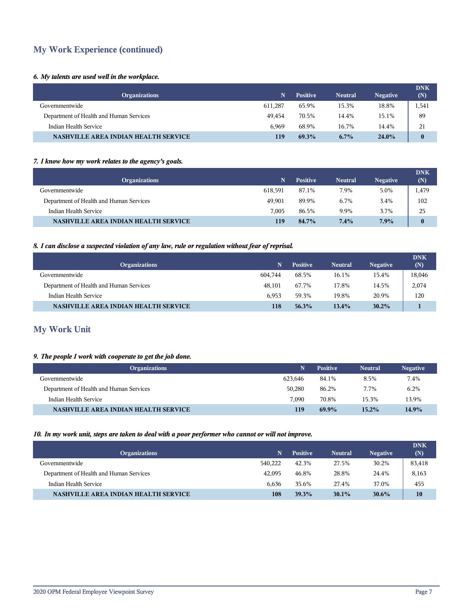# **My Work Experience (continued)**

# *6. My talents are used well in the workplace.*

| <b>Organizations</b>                        | N       | <b>Positive</b> | <b>Neutral</b> | <b>Negative</b> | <b>DNK</b><br>(N) |
|---------------------------------------------|---------|-----------------|----------------|-----------------|-------------------|
| Governmentwide                              | 611.287 | 65.9%           | 15.3%          | 18.8%           | 1,541             |
| Department of Health and Human Services     | 49.454  | 70.5%           | 14.4%          | 15.1%           | 89                |
| Indian Health Service                       | 6.969   | 68.9%           | 16.7%          | 14.4%           | 21                |
| <b>NASHVILLE AREA INDIAN HEALTH SERVICE</b> | 119     | 69.3%           | $6.7\%$        | $24.0\%$        | $\bf{0}$          |

## *7. I know how my work relates to the agency's goals.*

| <b>Organizations</b>                    | N       | <b>Positive</b> | <b>Neutral</b> | <b>Negative</b> | <b>DNK</b><br>(N) |
|-----------------------------------------|---------|-----------------|----------------|-----------------|-------------------|
| Governmentwide                          | 618.591 | 87.1%           | 7.9%           | 5.0%            | 1,479             |
| Department of Health and Human Services | 49.901  | 89.9%           | 6.7%           | 3.4%            | 102               |
| Indian Health Service                   | 7.005   | 86.5%           | 9.9%           | 3.7%            | 25                |
| NASHVILLE AREA INDIAN HEALTH SERVICE    | 119     | 84.7%           | $7.4\%$        | 7.9%            | $\bf{0}$          |

### *8. I can disclose a suspected violation of any law, rule or regulation without fear of reprisal.*

| <b>Organizations</b>                        | N       | <b>Positive</b> | <b>Neutral</b> | <b>Negative</b> | <b>DNK</b><br>(N) |
|---------------------------------------------|---------|-----------------|----------------|-----------------|-------------------|
| Governmentwide                              | 604.744 | 68.5%           | 16.1%          | 15.4%           | 18,046            |
| Department of Health and Human Services     | 48.101  | 67.7%           | 17.8%          | 14.5%           | 2,074             |
| Indian Health Service                       | 6.953   | 59.3%           | 19.8%          | 20.9%           | 120               |
| <b>NASHVILLE AREA INDIAN HEALTH SERVICE</b> | 118     | 56.3%           | $13.4\%$       | 30.2%           |                   |

# **My Work Unit**

# *9. The people I work with cooperate to get the job done.*

| <b>Organizations</b>                        | N       | <b>Positive</b> | <b>Neutral</b> | <b>Negative</b> |
|---------------------------------------------|---------|-----------------|----------------|-----------------|
| Governmentwide                              | 623.646 | 84.1%           | 8.5%           | 7.4%            |
| Department of Health and Human Services     | 50,280  | 86.2%           | 7.7%           | 6.2%            |
| Indian Health Service                       | 7.090   | 70.8%           | 15.3%          | 13.9%           |
| <b>NASHVILLE AREA INDIAN HEALTH SERVICE</b> | 119     | $69.9\%$        | 15.2%          | $14.9\%$        |

### *10. In my work unit, steps are taken to deal with a poor performer who cannot or will not improve.*

| <b>Organizations</b>                    | N       | <b>Positive</b> | <b>Neutral</b> | <b>Negative</b> | <b>DNK</b><br>(N) |
|-----------------------------------------|---------|-----------------|----------------|-----------------|-------------------|
| Governmentwide                          | 540.222 | 42.3%           | 27.5%          | 30.2%           | 83,418            |
| Department of Health and Human Services | 42,095  | 46.8%           | 28.8%          | 24.4%           | 8,163             |
| Indian Health Service                   | 6.636   | 35.6%           | 27.4%          | 37.0%           | 455               |
| NASHVILLE AREA INDIAN HEALTH SERVICE    | 108     | 39.3%           | $30.1\%$       | $30.6\%$        | 10                |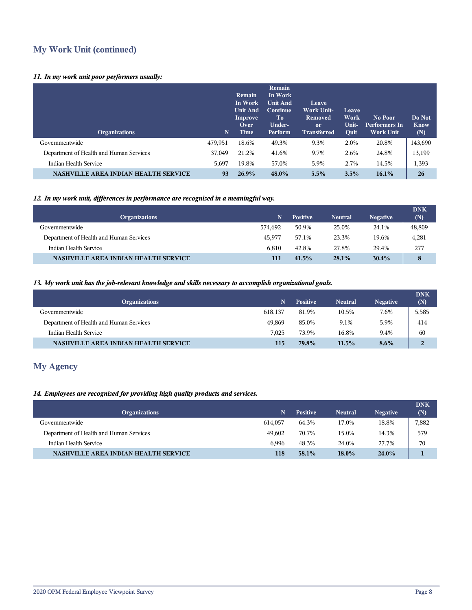# **My Work Unit (continued)**

# *11. In my work unit poor performers usually:*

| <b>Organizations</b>                        | $\mathbf N$ | Remain<br>In Work<br><b>Unit And</b><br>Improve<br>Over<br>Time | Remain<br>In Work<br>Unit And<br>Continue<br>To<br>Under-<br>Perform | Leave<br>Work Unit-<br><b>Removed</b><br><sub>or</sub><br><b>Transferred</b> | Leave<br>Work<br>Unit-<br>Quit | No Poor<br><b>Performers In</b><br><b>Work Unit</b> | Do Not<br>Know<br>(N) |
|---------------------------------------------|-------------|-----------------------------------------------------------------|----------------------------------------------------------------------|------------------------------------------------------------------------------|--------------------------------|-----------------------------------------------------|-----------------------|
| Governmentwide                              | 479,951     | 18.6%                                                           | 49.3%                                                                | 9.3%                                                                         | 2.0%                           | 20.8%                                               | 143,690               |
| Department of Health and Human Services     | 37,049      | 21.2%                                                           | 41.6%                                                                | 9.7%                                                                         | 2.6%                           | 24.8%                                               | 13,199                |
| Indian Health Service                       | 5,697       | 19.8%                                                           | 57.0%                                                                | 5.9%                                                                         | 2.7%                           | 14.5%                                               | 1,393                 |
| <b>NASHVILLE AREA INDIAN HEALTH SERVICE</b> | 93          | 26.9%                                                           | 48.0%                                                                | 5.5%                                                                         | 3.5%                           | $16.1\%$                                            | 26                    |

# *12. In my work unit, differences in performance are recognized in a meaningful way.*

| <b>Organizations</b>                        | N       | <b>Positive</b> | <b>Neutral</b> | <b>Negative</b> | <b>DNK</b><br>(N) |
|---------------------------------------------|---------|-----------------|----------------|-----------------|-------------------|
| Governmentwide                              | 574.692 | 50.9%           | 25.0%          | 24.1%           | 48,809            |
| Department of Health and Human Services     | 45.977  | 57.1%           | 23.3%          | 19.6%           | 4,281             |
| Indian Health Service                       | 6.810   | 42.8%           | 27.8%          | 29.4%           | 277               |
| <b>NASHVILLE AREA INDIAN HEALTH SERVICE</b> | 111     | 41.5%           | 28.1%          | $30.4\%$        | 8                 |

# *13. My work unit has the job-relevant knowledge and skills necessary to accomplish organizational goals.*

| <b>Organizations</b>                        | N       | <b>Positive</b> | <b>Neutral</b> | <b>Negative</b> | <b>DNK</b><br>(N) |
|---------------------------------------------|---------|-----------------|----------------|-----------------|-------------------|
| Governmentwide                              | 618.137 | 81.9%           | 10.5%          | 7.6%            | 5,585             |
| Department of Health and Human Services     | 49.869  | 85.0%           | 9.1%           | 5.9%            | 414               |
| Indian Health Service                       | 7.025   | 73.9%           | 16.8%          | 9.4%            | 60                |
| <b>NASHVILLE AREA INDIAN HEALTH SERVICE</b> | 115     | 79.8%           | 11.5%          | $8.6\%$         | $\overline{2}$    |

# **My Agency**

# *14. Employees are recognized for providing high quality products and services.*

| N       | <b>Positive</b> | <b>Neutral</b> | <b>Negative</b> | <b>DNK</b><br>(N) |
|---------|-----------------|----------------|-----------------|-------------------|
| 614.057 | 64.3%           | 17.0%          | 18.8%           | 7,882             |
| 49.602  | 70.7%           | 15.0%          | 14.3%           | 579               |
| 6.996   | 48.3%           | 24.0%          | 27.7%           | 70                |
| 118     | 58.1%           | 18.0%          | $24.0\%$        |                   |
|         |                 |                |                 |                   |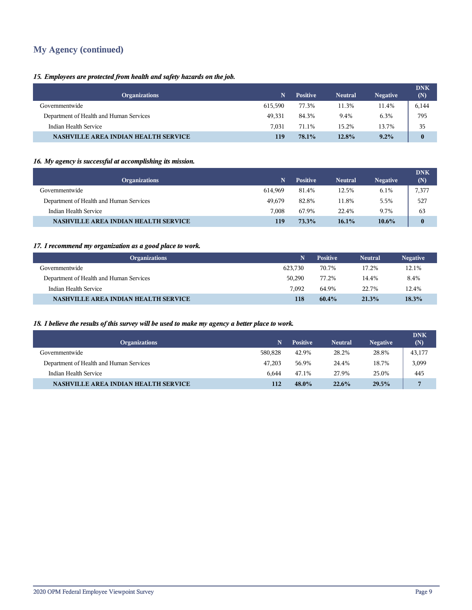# **My Agency (continued)**

# *15. Employees are protected from health and safety hazards on the job.*

| <b>Organizations</b>                        | N       | <b>Positive</b> | <b>Neutral</b> | <b>Negative</b> | <b>DNK</b><br>(N) |
|---------------------------------------------|---------|-----------------|----------------|-----------------|-------------------|
| Governmentwide                              | 615.590 | 77.3%           | 11.3%          | 11.4%           | 6,144             |
| Department of Health and Human Services     | 49.331  | 84.3%           | 9.4%           | 6.3%            | 795               |
| Indian Health Service                       | 7.031   | 71.1%           | 15.2%          | 13.7%           | 35                |
| <b>NASHVILLE AREA INDIAN HEALTH SERVICE</b> | 119     | 78.1%           | 12.8%          | 9.2%            | $\bf{0}$          |

# *16. My agency is successful at accomplishing its mission.*

| <b>Organizations</b>                    | N       | <b>Positive</b> | <b>Neutral</b> | <b>Negative</b> | <b>DNK</b><br>(N) |
|-----------------------------------------|---------|-----------------|----------------|-----------------|-------------------|
| Governmentwide                          | 614.969 | 81.4%           | 12.5%          | 6.1%            | 7,377             |
| Department of Health and Human Services | 49.679  | 82.8%           | 11.8%          | 5.5%            | 527               |
| Indian Health Service                   | 7.008   | 67.9%           | 22.4%          | 9.7%            | 63                |
| NASHVILLE AREA INDIAN HEALTH SERVICE    | 119     | 73.3%           | 16.1%          | $10.6\%$        | $\bf{0}$          |

# *17. I recommend my organization as a good place to work.*

| <b>Organizations</b>                        | N       | <b>Positive</b> | <b>Neutral</b> | <b>Negative</b> |
|---------------------------------------------|---------|-----------------|----------------|-----------------|
| Governmentwide                              | 623.730 | 70.7%           | 17.2%          | 12.1%           |
| Department of Health and Human Services     | 50.290  | 77.2%           | 14.4%          | 8.4%            |
| Indian Health Service                       | 7.092   | 64.9%           | 22.7%          | 12.4%           |
| <b>NASHVILLE AREA INDIAN HEALTH SERVICE</b> | 118     | $60.4\%$        | 21.3%          | 18.3%           |

# *18. I believe the results of this survey will be used to make my agency a better place to work.*

| <b>Organizations</b>                        | N       | <b>Positive</b> | <b>Neutral</b> | <b>Negative</b> | <b>DNK</b><br>(N) |
|---------------------------------------------|---------|-----------------|----------------|-----------------|-------------------|
| Governmentwide                              | 580.828 | 42.9%           | 28.2%          | 28.8%           | 43,177            |
| Department of Health and Human Services     | 47.203  | 56.9%           | 24.4%          | 18.7%           | 3,099             |
| Indian Health Service                       | 6.644   | 47.1%           | 27.9%          | 25.0%           | 445               |
| <b>NASHVILLE AREA INDIAN HEALTH SERVICE</b> | 112     | 48.0%           | 22.6%          | 29.5%           | $\overline{7}$    |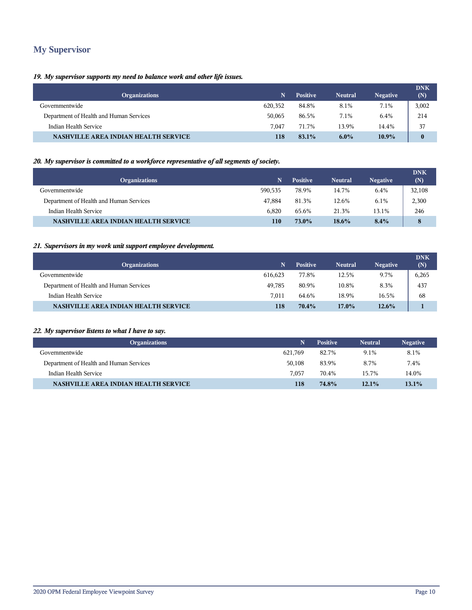# **My Supervisor**

# *19. My supervisor supports my need to balance work and other life issues.*

| <b>Organizations</b>                        | N       | <b>Positive</b> | <b>Neutral</b> | <b>Negative</b> | <b>DNK</b><br>(N) |
|---------------------------------------------|---------|-----------------|----------------|-----------------|-------------------|
| Governmentwide                              | 620,352 | 84.8%           | 8.1%           | 7.1%            | 3,002             |
| Department of Health and Human Services     | 50,065  | 86.5%           | 7.1%           | 6.4%            | 214               |
| Indian Health Service                       | 7.047   | 71.7%           | 13.9%          | 14.4%           | 37                |
| <b>NASHVILLE AREA INDIAN HEALTH SERVICE</b> | 118     | 83.1%           | $6.0\%$        | 10.9%           | $\bf{0}$          |

# *20. My supervisor is committed to a workforce representative of all segments of society.*

| <b>Organizations</b>                        | N       | <b>Positive</b> | <b>Neutral</b> | <b>Negative</b> | <b>DNK</b><br>(N) |
|---------------------------------------------|---------|-----------------|----------------|-----------------|-------------------|
| Governmentwide                              | 590,535 | 78.9%           | 14.7%          | 6.4%            | 32,108            |
| Department of Health and Human Services     | 47.884  | 81.3%           | 12.6%          | 6.1%            | 2,300             |
| Indian Health Service                       | 6.820   | 65.6%           | 21.3%          | 13.1%           | 246               |
| <b>NASHVILLE AREA INDIAN HEALTH SERVICE</b> | 110     | 73.0%           | 18.6%          | 8.4%            | 8                 |

# *21. Supervisors in my work unit support employee development.*

| <b>Organizations</b>                        | N       | <b>Positive</b> | <b>Neutral</b> | <b>Negative</b> | <b>DNK</b><br>(N) |
|---------------------------------------------|---------|-----------------|----------------|-----------------|-------------------|
| Governmentwide                              | 616.623 | 77.8%           | 12.5%          | 9.7%            | 6,265             |
| Department of Health and Human Services     | 49.785  | 80.9%           | 10.8%          | 8.3%            | 437               |
| Indian Health Service                       | 7.011   | 64.6%           | 18.9%          | 16.5%           | 68                |
| <b>NASHVILLE AREA INDIAN HEALTH SERVICE</b> | 118     | 70.4%           | $17.0\%$       | 12.6%           |                   |

# *22. My supervisor listens to what I have to say.*

| <b>Organizations</b>                        | N       | <b>Positive</b> | <b>Neutral</b> | <b>Negative</b> |
|---------------------------------------------|---------|-----------------|----------------|-----------------|
| Governmentwide                              | 621.769 | 82.7%           | 9.1%           | 8.1%            |
| Department of Health and Human Services     | 50.108  | 83.9%           | 8.7%           | 7.4%            |
| Indian Health Service                       | 7.057   | 70.4%           | 15.7%          | 14.0%           |
| <b>NASHVILLE AREA INDIAN HEALTH SERVICE</b> | 118     | 74.8%           | 12.1%          | $13.1\%$        |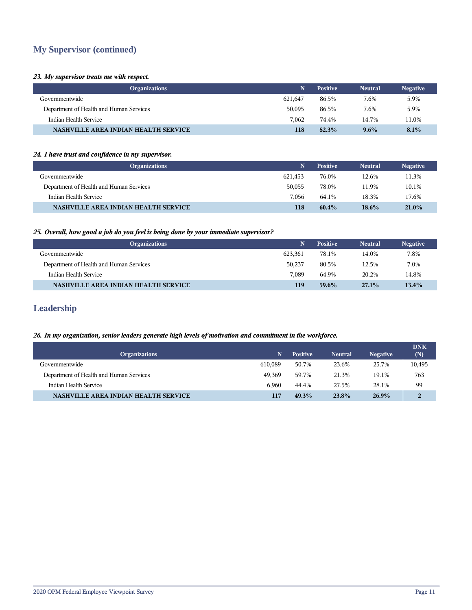# **My Supervisor (continued)**

### *23. My supervisor treats me with respect.*

| <b>Organizations</b>                        | N       | <b>Positive</b> | <b>Neutral</b> | <b>Negative</b> |
|---------------------------------------------|---------|-----------------|----------------|-----------------|
| Governmentwide                              | 621.647 | 86.5%           | 7.6%           | 5.9%            |
| Department of Health and Human Services     | 50,095  | 86.5%           | 7.6%           | 5.9%            |
| Indian Health Service                       | 7.062   | 74.4%           | 14.7%          | 11.0%           |
| <b>NASHVILLE AREA INDIAN HEALTH SERVICE</b> | 118     | 82.3%           | $9.6\%$        | 8.1%            |

### *24. I have trust and confidence in my supervisor.*

| <b>Organizations</b>                        | N       | <b>Positive</b> | <b>Neutral</b> | <b>Negative</b> |
|---------------------------------------------|---------|-----------------|----------------|-----------------|
| Governmentwide                              | 621.453 | 76.0%           | 12.6%          | 11.3%           |
| Department of Health and Human Services     | 50.055  | 78.0%           | 11.9%          | 10.1%           |
| Indian Health Service                       | 7.056   | 64.1%           | 18.3%          | 17.6%           |
| <b>NASHVILLE AREA INDIAN HEALTH SERVICE</b> | 118     | $60.4\%$        | 18.6%          | 21.0%           |

# *25. Overall, how good a job do you feel is being done by your immediate supervisor?*

| <b>Organizations</b>                        | N       | <b>Positive</b> | <b>Neutral</b> | <b>Negative</b> |
|---------------------------------------------|---------|-----------------|----------------|-----------------|
| Governmentwide                              | 623.361 | 78.1%           | 14.0%          | 7.8%            |
| Department of Health and Human Services     | 50,237  | 80.5%           | 12.5%          | 7.0%            |
| Indian Health Service                       | 7.089   | 64.9%           | 20.2%          | 14.8%           |
| <b>NASHVILLE AREA INDIAN HEALTH SERVICE</b> | 119     | 59.6%           | $27.1\%$       | $13.4\%$        |

# **Leadership**

# *26. In my organization, senior leaders generate high levels of motivation and commitment in the workforce.*

| <b>Organizations</b>                    | N       | <b>Positive</b> | <b>Neutral</b> | <b>Negative</b> | <b>DNK</b><br>(N) |
|-----------------------------------------|---------|-----------------|----------------|-----------------|-------------------|
| Governmentwide                          | 610.089 | 50.7%           | 23.6%          | 25.7%           | 10,495            |
| Department of Health and Human Services | 49.369  | 59.7%           | 21.3%          | 19.1%           | 763               |
| Indian Health Service                   | 6.960   | 44.4%           | 27.5%          | 28.1%           | 99                |
| NASHVILLE AREA INDIAN HEALTH SERVICE    | 417     | 49.3%           | 23.8%          | $26.9\%$        | $\overline{2}$    |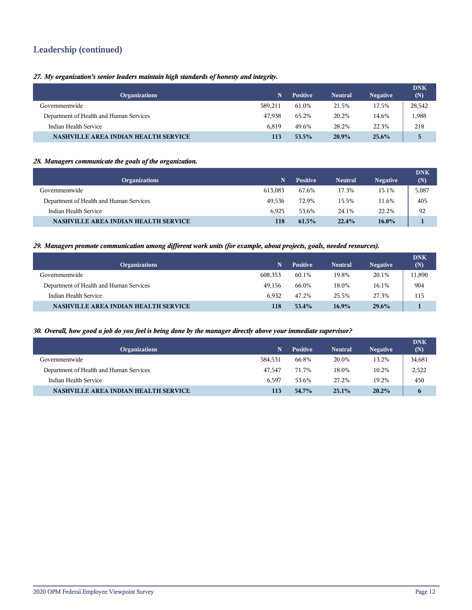# **Leadership (continued)**

# *27. My organization's senior leaders maintain high standards of honesty and integrity.*

| <b>Organizations</b>                        | N       | <b>Positive</b> | <b>Neutral</b> | <b>Negative</b> | <b>DNK</b><br>(N) |
|---------------------------------------------|---------|-----------------|----------------|-----------------|-------------------|
| Governmentwide                              | 589.211 | 61.0%           | 21.5%          | 17.5%           | 28,542            |
| Department of Health and Human Services     | 47.938  | 65.2%           | 20.2%          | 14.6%           | 1,988             |
| Indian Health Service                       | 6.819   | 49.6%           | 28.2%          | 22.3%           | 218               |
| <b>NASHVILLE AREA INDIAN HEALTH SERVICE</b> | 113     | 53.5%           | 20.9%          | $25.6\%$        | 5                 |

### *28. Managers communicate the goals of the organization.*

| <b>Organizations</b>                        | N       | <b>Positive</b> | <b>Neutral</b> | <b>Negative</b> | <b>DNK</b><br>(N) |
|---------------------------------------------|---------|-----------------|----------------|-----------------|-------------------|
| Governmentwide                              | 613.083 | 67.6%           | 17.3%          | 15.1%           | 5,087             |
| Department of Health and Human Services     | 49.536  | 72.9%           | 15.5%          | 11.6%           | 405               |
| Indian Health Service                       | 6.925   | 53.6%           | 24.1%          | 22.2%           | 92                |
| <b>NASHVILLE AREA INDIAN HEALTH SERVICE</b> | 118     | 61.5%           | 22.4%          | $16.0\%$        |                   |

### *29. Managers promote communication among different work units (for example, about projects, goals, needed resources).*

| <b>Organizations</b>                        |         | <b>Positive</b> | <b>Neutral</b> | <b>Negative</b> | <b>DNK</b><br>(N) |
|---------------------------------------------|---------|-----------------|----------------|-----------------|-------------------|
| Governmentwide                              | 608,353 | 60.1%           | 19.8%          | 20.1%           | 11,890            |
| Department of Health and Human Services     | 49.156  | 66.0%           | 18.0%          | 16.1%           | 904               |
| Indian Health Service                       | 6.932   | 47.2%           | 25.5%          | 27.3%           | 115               |
| <b>NASHVILLE AREA INDIAN HEALTH SERVICE</b> | 118     | 53.4%           | $16.9\%$       | $29.6\%$        |                   |

### *30. Overall, how good a job do you feel is being done by the manager directly above your immediate supervisor?*

| <b>Organizations</b>                        |         | <b>Positive</b> | <b>Neutral</b> | <b>Negative</b> | <b>DNK</b><br>(N) |
|---------------------------------------------|---------|-----------------|----------------|-----------------|-------------------|
| Governmentwide                              | 584.531 | 66.8%           | 20.0%          | 13.2%           | 34,681            |
| Department of Health and Human Services     | 47.547  | 71.7%           | 18.0%          | 10.2%           | 2,522             |
| Indian Health Service                       | 6.597   | 53.6%           | 27.2%          | 19.2%           | 450               |
| <b>NASHVILLE AREA INDIAN HEALTH SERVICE</b> | 113     | 54.7%           | 25.1%          | $20.2\%$        | $\mathbf b$       |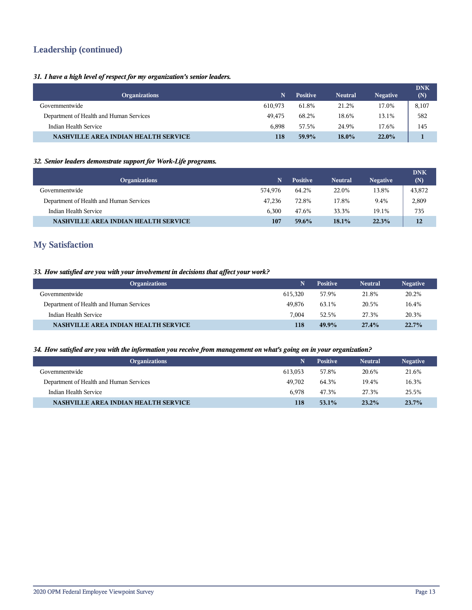# **Leadership (continued)**

# *31. I have a high level of respect for my organization's senior leaders.*

| <b>Organizations</b>                        | N       | <b>Positive</b> | <b>Neutral</b> | <b>Negative</b> | <b>DNK</b><br>(N) |
|---------------------------------------------|---------|-----------------|----------------|-----------------|-------------------|
| Governmentwide                              | 610.973 | 61.8%           | 21.2%          | 17.0%           | 8,107             |
| Department of Health and Human Services     | 49.475  | 68.2%           | 18.6%          | 13.1%           | 582               |
| Indian Health Service                       | 6.898   | 57.5%           | 24.9%          | 17.6%           | 145               |
| <b>NASHVILLE AREA INDIAN HEALTH SERVICE</b> | 118     | 59.9%           | $18.0\%$       | $22.0\%$        |                   |

# *32. Senior leaders demonstrate support for Work-Life programs.*

| <b>Organizations</b>                        | N       | <b>Positive</b> | <b>Neutral</b> | <b>Negative</b> | <b>DNK</b><br>(N) |
|---------------------------------------------|---------|-----------------|----------------|-----------------|-------------------|
| Governmentwide                              | 574.976 | 64.2%           | 22.0%          | 13.8%           | 43,872            |
| Department of Health and Human Services     | 47.236  | 72.8%           | 17.8%          | 9.4%            | 2,809             |
| Indian Health Service                       | 6.300   | 47.6%           | 33.3%          | 19.1%           | 735               |
| <b>NASHVILLE AREA INDIAN HEALTH SERVICE</b> | 107     | 59.6%           | 18.1%          | 22.3%           | 12                |

# **My Satisfaction**

# *33. How satisfied are you with your involvement in decisions that affect your work?*

| <b>Organizations</b>                        |         | <b>Positive</b> | <b>Neutral</b> | <b>Negative</b> |
|---------------------------------------------|---------|-----------------|----------------|-----------------|
| Governmentwide                              | 615.320 | 57.9%           | 21.8%          | 20.2%           |
| Department of Health and Human Services     | 49.876  | 63.1%           | 20.5%          | 16.4%           |
| Indian Health Service                       | 7.004   | 52.5%           | 27.3%          | 20.3%           |
| <b>NASHVILLE AREA INDIAN HEALTH SERVICE</b> | 118     | 49.9%           | 27.4%          | 22.7%           |

# *34. How satisfied are you with the information you receive from management on what's going on in your organization?*

| <b>Organizations</b>                        |         | <b>Positive</b> | <b>Neutral</b> | <b>Negative</b> |
|---------------------------------------------|---------|-----------------|----------------|-----------------|
| Governmentwide                              | 613.053 | 57.8%           | 20.6%          | 21.6%           |
| Department of Health and Human Services     | 49.702  | 64.3%           | 19.4%          | 16.3%           |
| Indian Health Service                       | 6.978   | 47.3%           | 27.3%          | 25.5%           |
| <b>NASHVILLE AREA INDIAN HEALTH SERVICE</b> | 118     | $53.1\%$        | 23.2%          | 23.7%           |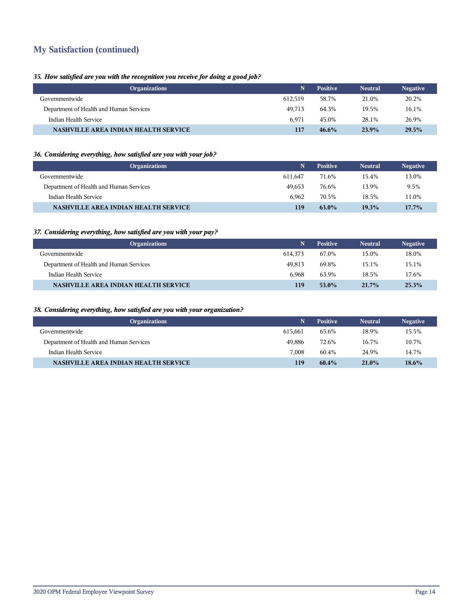# **My Satisfaction (continued)**

I

# *35. How satisfied are you with the recognition you receive for doing a good job?*

| <b>Organizations</b>                        |         | <b>Positive</b> | <b>Neutral</b> | <b>Negative</b> |
|---------------------------------------------|---------|-----------------|----------------|-----------------|
| Governmentwide                              | 612.519 | 58.7%           | 21.0%          | 20.2%           |
| Department of Health and Human Services     | 49.713  | 64.3%           | 19.5%          | 16.1%           |
| Indian Health Service                       | 6.971   | 45.0%           | 28.1%          | 26.9%           |
| <b>NASHVILLE AREA INDIAN HEALTH SERVICE</b> | 117     | 46.6%           | 23.9%          | 29.5%           |

# *36. Considering everything, how satisfied are you with your job?*

| <b>Organizations</b>                        | N.      | <b>Positive</b> | <b>Neutral</b> | <b>Negative</b> |
|---------------------------------------------|---------|-----------------|----------------|-----------------|
| Governmentwide                              | 611.647 | 71.6%           | 15.4%          | 13.0%           |
| Department of Health and Human Services     | 49.653  | 76.6%           | 13.9%          | 9.5%            |
| Indian Health Service                       | 6.962   | 70.5%           | 18.5%          | 11.0%           |
| <b>NASHVILLE AREA INDIAN HEALTH SERVICE</b> | 119     | 63.0%           | 19.3%          | $17.7\%$        |

# *37. Considering everything, how satisfied are you with your pay?*

| <b>Organizations</b>                        | N       | <b>Positive</b> | <b>Neutral</b> | <b>Negative</b> |
|---------------------------------------------|---------|-----------------|----------------|-----------------|
| Governmentwide                              | 614.373 | 67.0%           | 15.0%          | 18.0%           |
| Department of Health and Human Services     | 49.813  | 69.8%           | 15.1%          | 15.1%           |
| Indian Health Service                       | 6.968   | 63.9%           | 18.5%          | 17.6%           |
| <b>NASHVILLE AREA INDIAN HEALTH SERVICE</b> | 119     | $53.0\%$        | $21.7\%$       | 25.3%           |

# *38. Considering everything, how satisfied are you with your organization?*

| <b>Organizations</b>                        |         | <b>Positive</b> | <b>Neutral</b> | <b>Negative</b> |
|---------------------------------------------|---------|-----------------|----------------|-----------------|
| Governmentwide                              | 615.661 | 65.6%           | 18.9%          | 15.5%           |
| Department of Health and Human Services     | 49.886  | 72.6%           | 16.7%          | 10.7%           |
| Indian Health Service                       | 7.008   | 60.4%           | 24.9%          | 14.7%           |
| <b>NASHVILLE AREA INDIAN HEALTH SERVICE</b> | 119     | $60.4\%$        | $21.0\%$       | 18.6%           |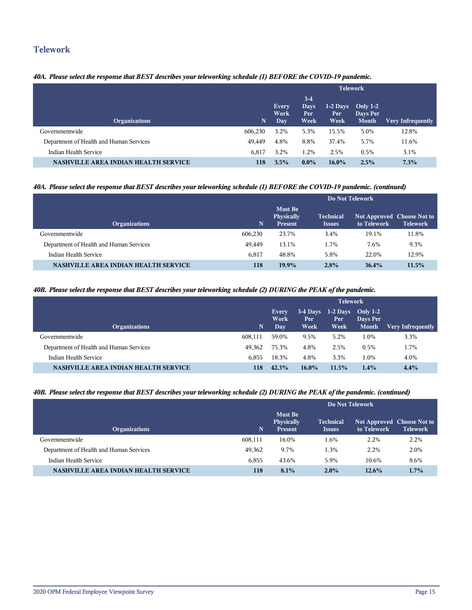# **Telework**

# *40A. Please select the response that BEST describes your teleworking schedule (1) BEFORE the COVID-19 pandemic.*

|                                             |         | <b>Telework</b>      |                               |                            |                                        |                          |
|---------------------------------------------|---------|----------------------|-------------------------------|----------------------------|----------------------------------------|--------------------------|
| <b>Organizations</b>                        | N       | Every<br>Work<br>Day | $3-4$<br>Days<br>Per.<br>Week | $1-2$ Days<br>Per:<br>Week | Only $1-2$<br>Days Per<br><b>Month</b> | <b>Very Infrequently</b> |
| Governmentwide                              | 606.230 | 3.2%                 | 5.3%                          | 15.5%                      | 5.0%                                   | 12.8%                    |
| Department of Health and Human Services     | 49,449  | 4.8%                 | 8.8%                          | 37.4%                      | 5.7%                                   | 11.6%                    |
| Indian Health Service                       | 6,817   | 3.2%                 | 1.2%                          | 2.5%                       | 0.5%                                   | 3.1%                     |
| <b>NASHVILLE AREA INDIAN HEALTH SERVICE</b> | 118     | 3.5%                 | $0.0\%$                       | $16.0\%$                   | 2.5%                                   | 7.3%                     |

# *40A. Please select the response that BEST describes your teleworking schedule (1) BEFORE the COVID-19 pandemic. (continued)*

|                                             |         | Do Not Telework                                |                                   |                                                  |                 |  |
|---------------------------------------------|---------|------------------------------------------------|-----------------------------------|--------------------------------------------------|-----------------|--|
| <b>Organizations</b>                        | N.      | <b>Must Be</b><br>Physically<br><b>Present</b> | <b>Technical</b><br><b>Issues</b> | <b>Not Approved Choose Not to</b><br>to Telework | <b>Telework</b> |  |
| Governmentwide                              | 606.230 | 23.7%                                          | 3.4%                              | 19.1%                                            | 11.8%           |  |
| Department of Health and Human Services     | 49.449  | 13.1%                                          | 1.7%                              | 7.6%                                             | 9.3%            |  |
| Indian Health Service                       | 6.817   | 48.8%                                          | 5.8%                              | 22.0%                                            | 12.9%           |  |
| <b>NASHVILLE AREA INDIAN HEALTH SERVICE</b> | 118     | $19.9\%$                                       | 2.8%                              | 36.4%                                            | 11.5%           |  |

# *40B. Please select the response that BEST describes your teleworking schedule (2) DURING the PEAK of the pandemic.*

|                                             |         | <b>Telework</b> |          |                             |                        |                   |
|---------------------------------------------|---------|-----------------|----------|-----------------------------|------------------------|-------------------|
|                                             |         | Every<br>Work   | Per      | $3-4$ Days 1-2 Days<br>Per. | Only $1-2$<br>Days Per |                   |
| <b>Organizations</b>                        | N       | <b>Day</b>      | Week     | Week                        | <b>Month</b>           | Very Infrequently |
| Governmentwide                              | 608.111 | 59.0%           | 9.5%     | 5.2%                        | 1.0%                   | 3.3%              |
| Department of Health and Human Services     | 49.362  | 75.3%           | 4.8%     | 2.5%                        | 0.5%                   | 1.7%              |
| Indian Health Service                       | 6.855   | 18.3%           | 4.8%     | 3.3%                        | 1.0%                   | 4.0%              |
| <b>NASHVILLE AREA INDIAN HEALTH SERVICE</b> | 118     | 42.3%           | $16.0\%$ | 11.5%                       | 1.4%                   | 4.4%              |

### *40B. Please select the response that BEST describes your teleworking schedule (2) DURING the PEAK of the pandemic. (continued)*

|                                             |         | Do Not Telework                                |                                   |                                           |                 |  |  |
|---------------------------------------------|---------|------------------------------------------------|-----------------------------------|-------------------------------------------|-----------------|--|--|
| <b>Organizations</b>                        | N       | <b>Must Be</b><br><b>Physically</b><br>Present | <b>Technical</b><br><b>Issues</b> | Not Approved Choose Not to<br>to Telework | <b>Telework</b> |  |  |
| Governmentwide                              | 608.111 | 16.0%                                          | 1.6%                              | 2.2%                                      | 2.2%            |  |  |
| Department of Health and Human Services     | 49.362  | 9.7%                                           | 1.3%                              | 2.2%                                      | 2.0%            |  |  |
| Indian Health Service                       | 6.855   | 43.6%                                          | 5.9%                              | 10.6%                                     | 8.6%            |  |  |
| <b>NASHVILLE AREA INDIAN HEALTH SERVICE</b> | 118     | $8.1\%$                                        | $2.0\%$                           | $12.6\%$                                  | $1.7\%$         |  |  |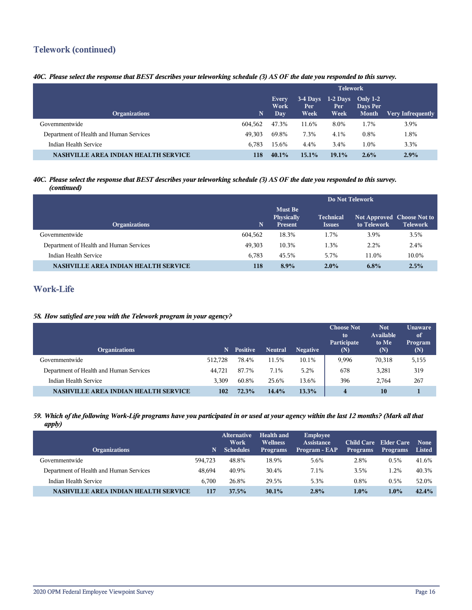# **Telework (continued)**

# *40C. Please select the response that BEST describes your teleworking schedule (3) AS OF the date you responded to this survey.*

|                                             |         | <b>Telework</b>      |                                        |                                      |                          |                   |
|---------------------------------------------|---------|----------------------|----------------------------------------|--------------------------------------|--------------------------|-------------------|
| <b>Organizations</b>                        | N       | Every<br>Work<br>Day | $3-4$ Days<br>Per <sup>1</sup><br>Week | $1-2$ Days Only $1-2$<br>Per<br>Week | Days Per<br><b>Month</b> | Very Infrequently |
| Governmentwide                              | 604.562 | 47.3%                | 11.6%                                  | 8.0%                                 | 1.7%                     | 3.9%              |
| Department of Health and Human Services     | 49.303  | 69.8%                | 7.3%                                   | 4.1%                                 | 0.8%                     | 1.8%              |
| Indian Health Service                       | 6.783   | 15.6%                | 4.4%                                   | 3.4%                                 | $1.0\%$                  | 3.3%              |
| <b>NASHVILLE AREA INDIAN HEALTH SERVICE</b> | 118     | $40.1\%$             | 15.1%                                  | $19.1\%$                             | $2.6\%$                  | 2.9%              |

### *40C. Please select the response that BEST describes your teleworking schedule (3) AS OF the date you responded to this survey. (continued)*

|                                             |         | Do Not Telework                         |                                   |                                           |                 |  |
|---------------------------------------------|---------|-----------------------------------------|-----------------------------------|-------------------------------------------|-----------------|--|
| <b>Organizations</b>                        | 'N.     | <b>Must Be</b><br>Physically<br>Present | <b>Technical</b><br><b>Issues</b> | Not Approved Choose Not to<br>to Telework | <b>Telework</b> |  |
| Governmentwide                              | 604,562 | 18.3%                                   | 1.7%                              | 3.9%                                      | 3.5%            |  |
| Department of Health and Human Services     | 49.303  | 10.3%                                   | 1.3%                              | 2.2%                                      | 2.4%            |  |
| Indian Health Service                       | 6.783   | 45.5%                                   | 5.7%                              | 11.0%                                     | 10.0%           |  |
| <b>NASHVILLE AREA INDIAN HEALTH SERVICE</b> | 118     | $8.9\%$                                 | $2.0\%$                           | 6.8%                                      | 2.5%            |  |

# **Work-Life**

# *58. How satisfied are you with the Telework program in your agency?*

| <b>Organizations</b>                    | N       | <b>Positive</b> | <b>Neutral</b> | <b>Negative</b> | <b>Choose Not</b><br>to<br>Participate<br>(N) | <b>Not</b><br>Available<br>to Me<br>(N) | <b>Unaware</b><br>of<br>Program<br>(N) |
|-----------------------------------------|---------|-----------------|----------------|-----------------|-----------------------------------------------|-----------------------------------------|----------------------------------------|
| Governmentwide                          | 512.728 | 78.4%           | 11.5%          | 10.1%           | 9,996                                         | 70,318                                  | 5,155                                  |
| Department of Health and Human Services | 44.721  | 87.7%           | 7.1%           | 5.2%            | 678                                           | 3,281                                   | 319                                    |
| Indian Health Service                   | 3.309   | 60.8%           | 25.6%          | 13.6%           | 396                                           | 2.764                                   | 267                                    |
| NASHVILLE AREA INDIAN HEALTH SERVICE    | 102     | 72.3%           | 14.4%          | 13.3%           | $\overline{\mathbf{4}}$                       | 10                                      |                                        |

### *59. Which of the following Work-Life programs have you participated in or used at your agency within the last 12 months? (Mark all that apply)*

| <b>Organizations</b>                    | N       | <b>Alternative</b><br>Work<br><b>Schedules</b> | Health and<br><b>Wellness</b><br><b>Programs</b> | <b>Employee</b><br><b>Assistance</b><br>Program - EAP | <b>Child Care</b><br><b>Programs</b> | Elder Care<br><b>Programs</b> | <b>None</b><br><b>Listed</b> |
|-----------------------------------------|---------|------------------------------------------------|--------------------------------------------------|-------------------------------------------------------|--------------------------------------|-------------------------------|------------------------------|
| Governmentwide                          | 594.723 | 48.8%                                          | 18.9%                                            | 5.6%                                                  | 2.8%                                 | 0.5%                          | 41.6%                        |
| Department of Health and Human Services | 48.694  | 40.9%                                          | 30.4%                                            | 7.1%                                                  | 3.5%                                 | $1.2\%$                       | 40.3%                        |
| Indian Health Service                   | 6.700   | 26.8%                                          | 29.5%                                            | 5.3%                                                  | 0.8%                                 | 0.5%                          | 52.0%                        |
| NASHVILLE AREA INDIAN HEALTH SERVICE    | 117     | 37.5%                                          | $30.1\%$                                         | 2.8%                                                  | $1.0\%$                              | $1.0\%$                       | 42.4%                        |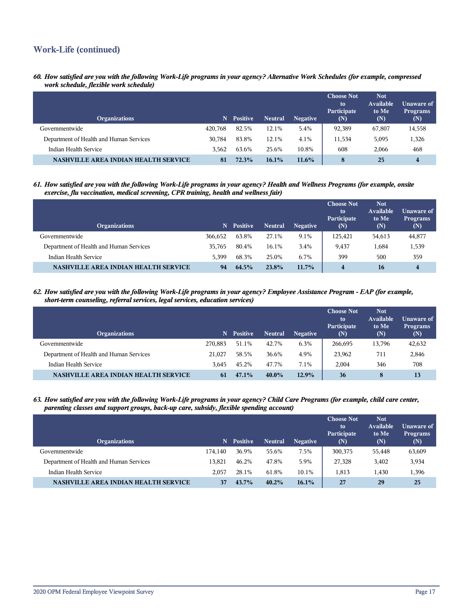# **Work-Life (continued)**

*60. How satisfied are you with the following Work-Life programs in your agency? Alternative Work Schedules (for example, compressed work schedule, flexible work schedule)*

| <b>Organizations</b>                        | N       | <b>Positive</b> | <b>Neutral</b> | <b>Negative</b> | <b>Choose Not</b><br>to<br>Participate<br>(N) | <b>Not</b><br>Available<br>to Me<br>(N) | <b>Unaware of</b><br><b>Programs</b><br>(N) |
|---------------------------------------------|---------|-----------------|----------------|-----------------|-----------------------------------------------|-----------------------------------------|---------------------------------------------|
| Governmentwide                              | 420.768 | 82.5%           | 12.1%          | 5.4%            | 92,389                                        | 67,807                                  | 14,558                                      |
| Department of Health and Human Services     | 30.784  | 83.8%           | 12.1%          | 4.1%            | 11,534                                        | 5,095                                   | 1,326                                       |
| Indian Health Service                       | 3.562   | 63.6%           | 25.6%          | 10.8%           | 608                                           | 2.066                                   | 468                                         |
| <b>NASHVILLE AREA INDIAN HEALTH SERVICE</b> | 81      | 72.3%           | $16.1\%$       | $11.6\%$        | 8                                             | 25                                      | 4                                           |

*61. How satisfied are you with the following Work-Life programs in your agency? Health and Wellness Programs (for example, onsite exercise, flu vaccination, medical screening, CPR training, health and wellness fair)*

| <b>Organizations</b>                        | N       | <b>Positive</b> | <b>Neutral</b> | <b>Negative</b> | <b>Choose Not</b><br>to<br>Participate<br>(N) | <b>Not</b><br>Available<br>to Me<br>(N) | Unaware of<br><b>Programs</b><br>(N) |
|---------------------------------------------|---------|-----------------|----------------|-----------------|-----------------------------------------------|-----------------------------------------|--------------------------------------|
| Governmentwide                              | 366.652 | 63.8%           | 27.1%          | 9.1%            | 125.421                                       | 54,613                                  | 44,877                               |
| Department of Health and Human Services     | 35.765  | 80.4%           | 16.1%          | 3.4%            | 9,437                                         | 1,684                                   | 1,539                                |
| Indian Health Service                       | 5.399   | 68.3%           | 25.0%          | 6.7%            | 399                                           | 500                                     | 359                                  |
| <b>NASHVILLE AREA INDIAN HEALTH SERVICE</b> | 94      | 64.5%           | 23.8%          | $11.7\%$        | 4                                             | <b>16</b>                               | $\overline{\mathbf{4}}$              |

*62. How satisfied are you with the following Work-Life programs in your agency? Employee Assistance Program - EAP (for example, short-term counseling, referral services, legal services, education services)*

| <b>Organizations</b>                    | N       | <b>Positive</b> | <b>Neutral</b> | <b>Negative</b> | <b>Choose Not</b><br>to<br>Participate<br>(N) | <b>Not</b><br>Available<br>to Me<br>(N) | Unaware of<br><b>Programs</b><br>$(\mathbb{N})$ |
|-----------------------------------------|---------|-----------------|----------------|-----------------|-----------------------------------------------|-----------------------------------------|-------------------------------------------------|
| Governmentwide                          | 270,883 | 51.1%           | 42.7%          | 6.3%            | 266,695                                       | 13,796                                  | 42,632                                          |
| Department of Health and Human Services | 21.027  | 58.5%           | 36.6%          | 4.9%            | 23,962                                        | 711                                     | 2,846                                           |
| Indian Health Service                   | 3.645   | 45.2%           | 47.7%          | 7.1%            | 2.004                                         | 346                                     | 708                                             |
| NASHVILLE AREA INDIAN HEALTH SERVICE    | 61      | 47.1%           | $40.0\%$       | 12.9%           | 36                                            | 8                                       | 13                                              |

*63. How satisfied are you with the following Work-Life programs in your agency? Child Care Programs (for example, child care center, parenting classes and support groups, back-up care, subsidy, flexible spending account)*

| <b>Organizations</b>                        | N       | <b>Positive</b> | <b>Neutral</b> | <b>Negative</b> | <b>Choose Not</b><br>to<br>Participate<br>(N) | <b>Not</b><br>Available<br>to Me<br>(N) | <b>Unaware of</b><br><b>Programs</b><br>(N) |
|---------------------------------------------|---------|-----------------|----------------|-----------------|-----------------------------------------------|-----------------------------------------|---------------------------------------------|
| Governmentwide                              | 174.140 | 36.9%           | 55.6%          | 7.5%            | 300,375                                       | 55,448                                  | 63,609                                      |
| Department of Health and Human Services     | 13.821  | 46.2%           | 47.8%          | 5.9%            | 27,328                                        | 3,402                                   | 3,934                                       |
| Indian Health Service                       | 2.057   | 28.1%           | 61.8%          | 10.1%           | 1,813                                         | 1.430                                   | 1,396                                       |
| <b>NASHVILLE AREA INDIAN HEALTH SERVICE</b> | 37      | 43.7%           | $40.2\%$       | $16.1\%$        | 27                                            | 29                                      | 25                                          |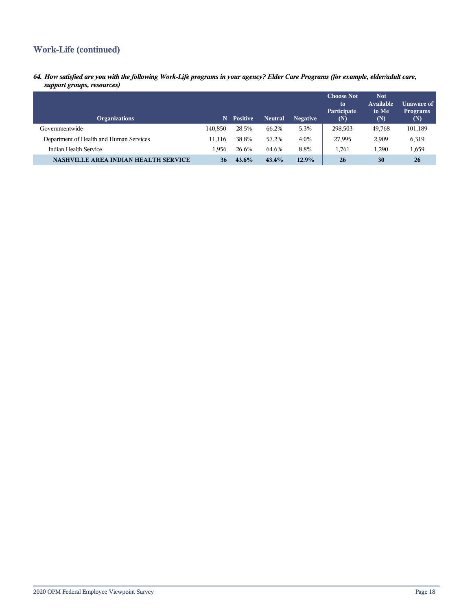# **Work-Life (continued)**

*64. How satisfied are you with the following Work-Life programs in your agency? Elder Care Programs (for example, elder/adult care, support groups, resources)*

| <b>Organizations</b>                        | N       | <b>Positive</b> | <b>Neutral</b> | <b>Negative</b> | <b>Choose Not</b><br>to<br>Participate<br>(N) | <b>Not</b><br>Available<br>to Me<br>(N) | Unaware of<br><b>Programs</b><br>$(\mathbb{N})$ |
|---------------------------------------------|---------|-----------------|----------------|-----------------|-----------------------------------------------|-----------------------------------------|-------------------------------------------------|
| Governmentwide                              | 140,850 | 28.5%           | 66.2%          | 5.3%            | 298,503                                       | 49,768                                  | 101,189                                         |
| Department of Health and Human Services     | 11.116  | 38.8%           | 57.2%          | 4.0%            | 27,995                                        | 2,909                                   | 6,319                                           |
| Indian Health Service                       | 1.956   | 26.6%           | 64.6%          | 8.8%            | 1,761                                         | 1,290                                   | 1,659                                           |
| <b>NASHVILLE AREA INDIAN HEALTH SERVICE</b> | 36      | $43.6\%$        | 43.4%          | 12.9%           | 26                                            | 30                                      | 26                                              |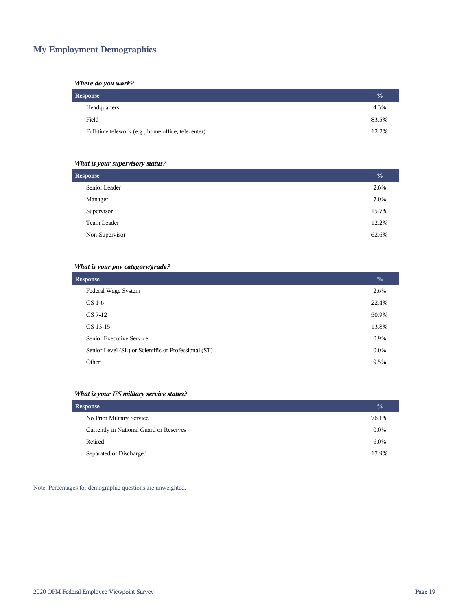# **My Employment Demographics**

## *Where do you work?*

| Response                                           | $\frac{0}{2}$ |
|----------------------------------------------------|---------------|
| Headquarters                                       | 4.3%          |
| Field                                              | 83.5%         |
| Full-time telework (e.g., home office, telecenter) | 12.2%         |

# *What is your supervisory status?*

| <b>Response</b> | $\frac{0}{0}$ |
|-----------------|---------------|
| Senior Leader   | 2.6%          |
| Manager         | 7.0%          |
| Supervisor      | 15.7%         |
| Team Leader     | 12.2%         |
| Non-Supervisor  | 62.6%         |
|                 |               |

# *What is your pay category/grade?*

| <b>Response</b>                                      | $\frac{0}{0}$ |
|------------------------------------------------------|---------------|
| Federal Wage System                                  | 2.6%          |
| GS 1-6                                               | 22.4%         |
| GS 7-12                                              | 50.9%         |
| GS 13-15                                             | 13.8%         |
| Senior Executive Service                             | 0.9%          |
| Senior Level (SL) or Scientific or Professional (ST) | $0.0\%$       |
| Other                                                | 9.5%          |

# *What is your US military service status?*

| <b>Response</b>                         | $\frac{0}{0}$ |
|-----------------------------------------|---------------|
| No Prior Military Service               | 76.1%         |
| Currently in National Guard or Reserves | $0.0\%$       |
| Retired                                 | $6.0\%$       |
| Separated or Discharged                 | 17.9%         |

Note: Percentages for demographic questions are unweighted.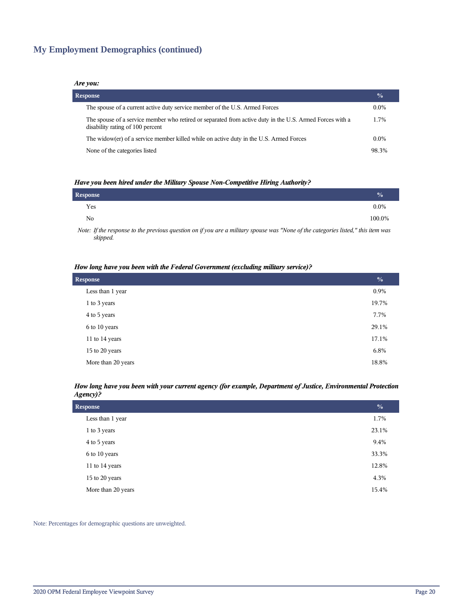# **My Employment Demographics (continued)**

### *Are you:*

| <b>Response</b> |                                                                                                                                              |         |
|-----------------|----------------------------------------------------------------------------------------------------------------------------------------------|---------|
|                 | The spouse of a current active duty service member of the U.S. Armed Forces                                                                  | $0.0\%$ |
|                 | The spouse of a service member who retired or separated from active duty in the U.S. Armed Forces with a<br>disability rating of 100 percent | 1.7%    |
|                 | The widow(er) of a service member killed while on active duty in the U.S. Armed Forces                                                       | $0.0\%$ |
|                 | None of the categories listed                                                                                                                | 98.3%   |

### *Have you been hired under the Military Spouse Non-Competitive Hiring Authority?*

| Response |  |  |  | $\frac{0}{0}$ |
|----------|--|--|--|---------------|
| Yes      |  |  |  | $0.0\%$       |
| No       |  |  |  | 100.0%        |
|          |  |  |  |               |

*Note: If the response to the previous question on if you are a military spouse was "None of the categories listed," this item was skipped.*

### *How long have you been with the Federal Government (excluding military service)?*

| <b>Response</b>    |       |
|--------------------|-------|
| Less than 1 year   | 0.9%  |
| 1 to 3 years       | 19.7% |
| 4 to 5 years       | 7.7%  |
| 6 to 10 years      | 29.1% |
| 11 to 14 years     | 17.1% |
| 15 to 20 years     | 6.8%  |
| More than 20 years | 18.8% |

### *How long have you been with your current agency (for example, Department of Justice, Environmental Protection Agency)?*

| $\frac{0}{0}$ |
|---------------|
| 1.7%          |
| 23.1%         |
| 9.4%          |
| 33.3%         |
| 12.8%         |
| 4.3%          |
| 15.4%         |
|               |

Note: Percentages for demographic questions are unweighted.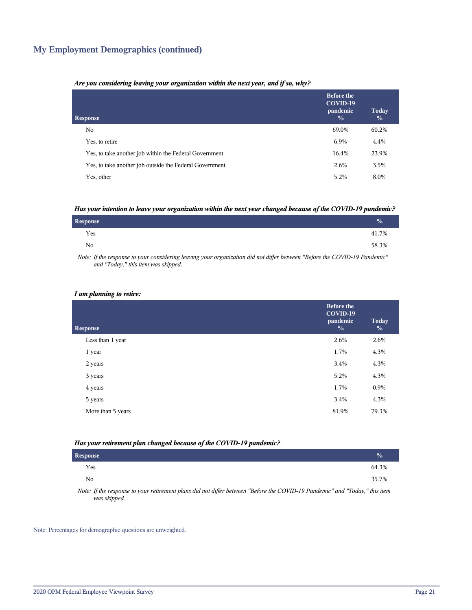# **My Employment Demographics (continued)**

### *Are you considering leaving your organization within the next year, and if so, why?*

| <b>Response</b>                                         | <b>Before the</b><br>COVID-19<br>pandemic<br>$\frac{0}{0}$ | Today<br>$\frac{0}{0}$ |
|---------------------------------------------------------|------------------------------------------------------------|------------------------|
| No.                                                     | 69.0%                                                      | 60.2%                  |
| Yes, to retire                                          | 6.9%                                                       | 4.4%                   |
| Yes, to take another job within the Federal Government  | 16.4%                                                      | 23.9%                  |
| Yes, to take another job outside the Federal Government | 2.6%                                                       | 3.5%                   |
| Yes, other                                              | 5.2%                                                       | 8.0%                   |

### *Has your intention to leave your organization within the next year changed because of the COVID-19 pandemic?*

| <b>Response</b> | $\frac{0}{0}$ |  |
|-----------------|---------------|--|
| Yes             | 41.7%         |  |
| No              | 58.3%         |  |

*Note: If the response to your considering leaving your organization did not differ between "Before the COVID-19 Pandemic" and "Today," this item was skipped.*

### *I am planning to retire:*

| <b>Response</b>   | <b>Before the</b><br>COVID-19<br>pandemic<br>$\frac{0}{0}$ | <b>Today</b><br>$\frac{0}{0}$ |
|-------------------|------------------------------------------------------------|-------------------------------|
| Less than 1 year  | 2.6%                                                       | 2.6%                          |
| 1 year            | 1.7%                                                       | 4.3%                          |
| 2 years           | 3.4%                                                       | 4.3%                          |
| 3 years           | 5.2%                                                       | 4.3%                          |
| 4 years           | 1.7%                                                       | 0.9%                          |
| 5 years           | 3.4%                                                       | 4.3%                          |
| More than 5 years | 81.9%                                                      | 79.3%                         |
|                   |                                                            |                               |

### *Has your retirement plan changed because of the COVID-19 pandemic?*

| <b>Response</b> |                                                                                                                      | $\frac{0}{0}$ |
|-----------------|----------------------------------------------------------------------------------------------------------------------|---------------|
| Yes             |                                                                                                                      | 64.3%         |
| No              |                                                                                                                      | 35.7%         |
|                 | .<br>the contract of the contract of the contract of the contract of the contract of the contract of the contract of |               |

*Note: If the response to your retirement plans did not differ between "Before the COVID-19 Pandemic" and "Today," this item was skipped.*

Note: Percentages for demographic questions are unweighted.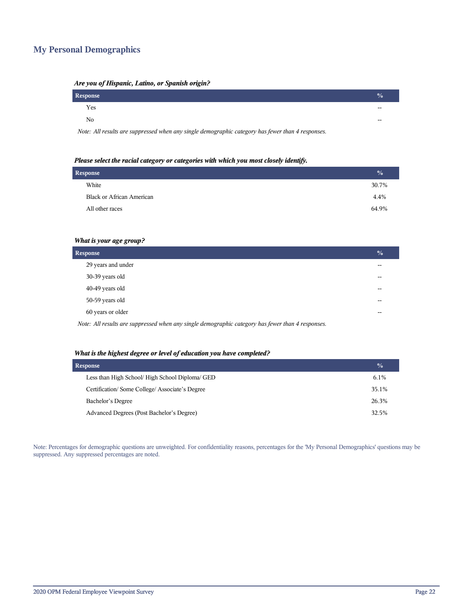# **My Personal Demographics**

| zire you of ruspuna, Luuno, or Spunsh origin. |                            |  |
|-----------------------------------------------|----------------------------|--|
| Response                                      | $\mathcal{N}_{\mathsf{m}}$ |  |
| Yes                                           | $- -$                      |  |
| No                                            | $- -$                      |  |
|                                               |                            |  |

# *Are you of Hispanic, Latino, or Spanish origin?*

*Note: All results are suppressed when any single demographic category has fewer than 4 responses.*

### *Please select the racial category or categories with which you most closely identify.*

| <b>Response</b> |                                  | $\frac{0}{0}$ |
|-----------------|----------------------------------|---------------|
|                 | White                            | 30.7%         |
|                 | <b>Black or African American</b> | 4.4%          |
|                 | All other races                  | 64.9%         |
|                 |                                  |               |

### *What is your age group?*

| <b>Response</b>    |     |
|--------------------|-----|
| 29 years and under | --  |
| 30-39 years old    | --  |
| 40-49 years old    | $-$ |
| 50-59 years old    | --  |
| 60 years or older  | --  |
| .                  |     |

*Note: All results are suppressed when any single demographic category has fewer than 4 responses.*

### *What is the highest degree or level of education you have completed?*

| <b>Response</b>                                 |         |
|-------------------------------------------------|---------|
| Less than High School/ High School Diploma/ GED | $6.1\%$ |
| Certification/Some College/Associate's Degree   | 35.1%   |
| Bachelor's Degree                               | 26.3%   |
| Advanced Degrees (Post Bachelor's Degree)       | 32.5%   |

Note: Percentages for demographic questions are unweighted. For confidentiality reasons, percentages for the 'My Personal Demographics' questions may be suppressed. Any suppressed percentages are noted.